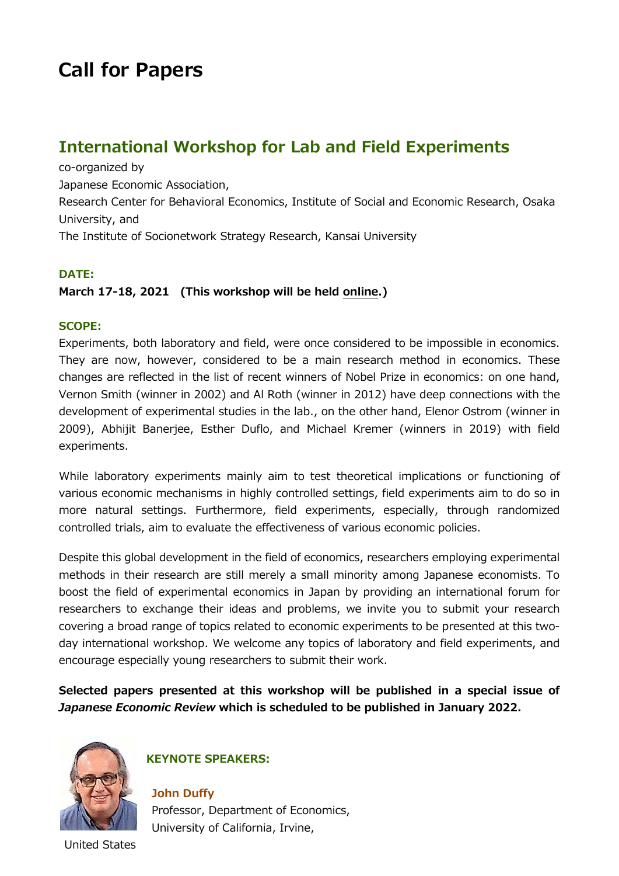# **Call for Papers**

# **International Workshop for Lab and Field Experiments**

co-organized by Japanese Economic Association, Research Center for Behavioral Economics, Institute of Social and Economic Research, Osaka University, and The Institute of Socionetwork Strategy Research, Kansai University

### **DATE:**

## **March 17-18, 2021 (This workshop will be held online.)**

#### **SCOPE:**

Experiments, both laboratory and field, were once considered to be impossible in economics. They are now, however, considered to be a main research method in economics. These changes are reflected in the list of recent winners of Nobel Prize in economics: on one hand, Vernon Smith (winner in 2002) and Al Roth (winner in 2012) have deep connections with the development of experimental studies in the lab., on the other hand, Elenor Ostrom (winner in 2009), Abhijit Banerjee, Esther Duflo, and Michael Kremer (winners in 2019) with field experiments.

While laboratory experiments mainly aim to test theoretical implications or functioning of various economic mechanisms in highly controlled settings, field experiments aim to do so in more natural settings. Furthermore, field experiments, especially, through randomized controlled trials, aim to evaluate the effectiveness of various economic policies.

Despite this global development in the field of economics, researchers employing experimental methods in their research are still merely a small minority among Japanese economists. To boost the field of experimental economics in Japan by providing an international forum for researchers to exchange their ideas and problems, we invite you to submit your research covering a broad range of topics related to economic experiments to be presented at this twoday international workshop. We welcome any topics of laboratory and field experiments, and encourage especially young researchers to submit their work.

**Selected papers presented at this workshop will be published in a special issue of**  *Japanese Economic Review* **which is scheduled to be published in January 2022.** 



# **KEYNOTE SPEAKERS:**

**John Duffy** Professor, Department of Economics, University of California, Irvine,

United States